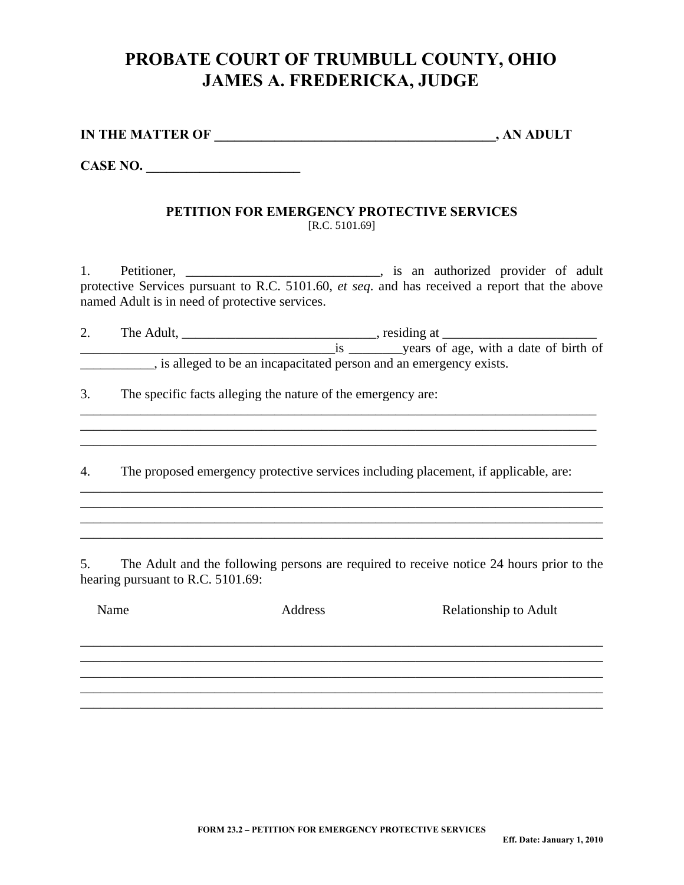## **PROBATE COURT OF TRUMBULL COUNTY, OHIO JAMES A. FREDERICKA, JUDGE**

| <b>IN THE MATTER OF</b> | , AN ADULT |
|-------------------------|------------|
|                         |            |

**CASE NO. \_\_\_\_\_\_\_\_\_\_\_\_\_\_\_\_\_\_\_\_\_\_\_** 

## **PETITION FOR EMERGENCY PROTECTIVE SERVICES**  [R.C. 5101.69]

1. Petitioner, \_\_\_\_\_\_\_\_\_\_\_\_\_\_\_\_\_\_\_\_\_\_\_\_\_\_\_\_, is an authorized provider of adult protective Services pursuant to R.C. 5101.60, *et seq*. and has received a report that the above named Adult is in need of protective services.

| Ź. | The Adult, | residing at                                                         |  |  |
|----|------------|---------------------------------------------------------------------|--|--|
|    |            | years of age, with a date of birth of                               |  |  |
|    |            | , is alleged to be an incapacitated person and an emergency exists. |  |  |

\_\_\_\_\_\_\_\_\_\_\_\_\_\_\_\_\_\_\_\_\_\_\_\_\_\_\_\_\_\_\_\_\_\_\_\_\_\_\_\_\_\_\_\_\_\_\_\_\_\_\_\_\_\_\_\_\_\_\_\_\_\_\_\_\_\_\_\_\_\_\_\_\_\_\_\_\_  $\mathcal{L}_\text{max}$  , and the set of the set of the set of the set of the set of the set of the set of the set of the set of the set of the set of the set of the set of the set of the set of the set of the set of the set of the

\_\_\_\_\_\_\_\_\_\_\_\_\_\_\_\_\_\_\_\_\_\_\_\_\_\_\_\_\_\_\_\_\_\_\_\_\_\_\_\_\_\_\_\_\_\_\_\_\_\_\_\_\_\_\_\_\_\_\_\_\_\_\_\_\_\_\_\_\_\_\_\_\_\_\_\_\_\_ \_\_\_\_\_\_\_\_\_\_\_\_\_\_\_\_\_\_\_\_\_\_\_\_\_\_\_\_\_\_\_\_\_\_\_\_\_\_\_\_\_\_\_\_\_\_\_\_\_\_\_\_\_\_\_\_\_\_\_\_\_\_\_\_\_\_\_\_\_\_\_\_\_\_\_\_\_\_ \_\_\_\_\_\_\_\_\_\_\_\_\_\_\_\_\_\_\_\_\_\_\_\_\_\_\_\_\_\_\_\_\_\_\_\_\_\_\_\_\_\_\_\_\_\_\_\_\_\_\_\_\_\_\_\_\_\_\_\_\_\_\_\_\_\_\_\_\_\_\_\_\_\_\_\_\_\_ \_\_\_\_\_\_\_\_\_\_\_\_\_\_\_\_\_\_\_\_\_\_\_\_\_\_\_\_\_\_\_\_\_\_\_\_\_\_\_\_\_\_\_\_\_\_\_\_\_\_\_\_\_\_\_\_\_\_\_\_\_\_\_\_\_\_\_\_\_\_\_\_\_\_\_\_\_\_

 $\mathcal{L}_\mathcal{L} = \{ \mathcal{L}_\mathcal{L} = \{ \mathcal{L}_\mathcal{L} = \{ \mathcal{L}_\mathcal{L} = \{ \mathcal{L}_\mathcal{L} = \{ \mathcal{L}_\mathcal{L} = \{ \mathcal{L}_\mathcal{L} = \{ \mathcal{L}_\mathcal{L} = \{ \mathcal{L}_\mathcal{L} = \{ \mathcal{L}_\mathcal{L} = \{ \mathcal{L}_\mathcal{L} = \{ \mathcal{L}_\mathcal{L} = \{ \mathcal{L}_\mathcal{L} = \{ \mathcal{L}_\mathcal{L} = \{ \mathcal{L}_\mathcal{$ 

3. The specific facts alleging the nature of the emergency are:

4. The proposed emergency protective services including placement, if applicable, are:

5. The Adult and the following persons are required to receive notice 24 hours prior to the hearing pursuant to R.C. 5101.69:

| Name | Relationship to Adult<br>Address |  |
|------|----------------------------------|--|
|      |                                  |  |
|      |                                  |  |
|      |                                  |  |
|      |                                  |  |
|      |                                  |  |